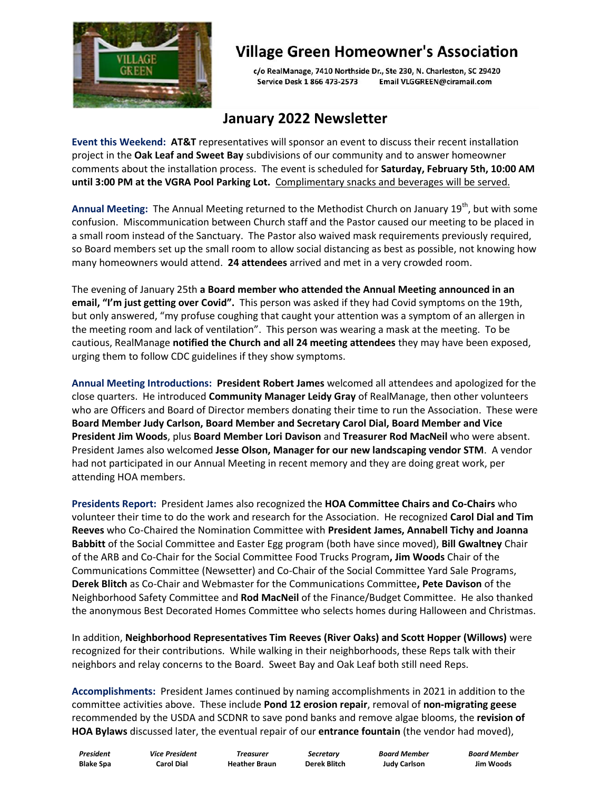

# **Village Green Homeowner's Association**

c/o RealManage, 7410 Northside Dr., Ste 230, N. Charleston, SC 29420 Service Desk 1 866 473-2573 Email VLGGREEN@ciramail.com

#### **January 2022 Newsletter**

**Event this Weekend: AT&T** representatives will sponsor an event to discuss their recent installation project in the **Oak Leaf and Sweet Bay** subdivisions of our community and to answer homeowner comments about the installation process. The event is scheduled for **Saturday, February 5th, 10:00 AM until 3:00 PM at the VGRA Pool Parking Lot.** Complimentary snacks and beverages will be served.

Annual Meeting: The Annual Meeting returned to the Methodist Church on January 19<sup>th</sup>, but with some confusion. Miscommunication between Church staff and the Pastor caused our meeting to be placed in a small room instead of the Sanctuary. The Pastor also waived mask requirements previously required, so Board members set up the small room to allow social distancing as best as possible, not knowing how many homeowners would attend. **24 attendees** arrived and met in a very crowded room.

The evening of January 25th **a Board member who attended the Annual Meeting announced in an email, "I'm just getting over Covid".** This person was asked if they had Covid symptoms on the 19th, but only answered, "my profuse coughing that caught your attention was a symptom of an allergen in the meeting room and lack of ventilation". This person was wearing a mask at the meeting. To be cautious, RealManage **notified the Church and all 24 meeting attendees** they may have been exposed, urging them to follow CDC guidelines if they show symptoms.

**Annual Meeting Introductions: President Robert James** welcomed all attendees and apologized for the close quarters. He introduced **Community Manager Leidy Gray** of RealManage, then other volunteers who are Officers and Board of Director members donating their time to run the Association. These were **Board Member Judy Carlson, Board Member and Secretary Carol Dial, Board Member and Vice President Jim Woods**, plus **Board Member Lori Davison** and **Treasurer Rod MacNeil** who were absent. President James also welcomed **Jesse Olson, Manager for our new landscaping vendor STM**. A vendor had not participated in our Annual Meeting in recent memory and they are doing great work, per attending HOA members.

**Presidents Report:** President James also recognized the **HOA Committee Chairs and Co-Chairs** who volunteer their time to do the work and research for the Association. He recognized **Carol Dial and Tim Reeves** who Co-Chaired the Nomination Committee with **President James, Annabell Tichy and Joanna Babbitt** of the Social Committee and Easter Egg program (both have since moved), **Bill Gwaltney** Chair of the ARB and Co-Chair for the Social Committee Food Trucks Program**, Jim Woods** Chair of the Communications Committee (Newsetter) and Co-Chair of the Social Committee Yard Sale Programs, **Derek Blitch** as Co-Chair and Webmaster for the Communications Committee**, Pete Davison** of the Neighborhood Safety Committee and **Rod MacNeil** of the Finance/Budget Committee. He also thanked the anonymous Best Decorated Homes Committee who selects homes during Halloween and Christmas.

In addition, **Neighborhood Representatives Tim Reeves (River Oaks) and Scott Hopper (Willows)** were recognized for their contributions. While walking in their neighborhoods, these Reps talk with their neighbors and relay concerns to the Board. Sweet Bay and Oak Leaf both still need Reps.

**Accomplishments:** President James continued by naming accomplishments in 2021 in addition to the committee activities above. These include **Pond 12 erosion repair**, removal of **non-migrating geese** recommended by the USDA and SCDNR to save pond banks and remove algae blooms, the **revision of HOA Bylaws** discussed later, the eventual repair of our **entrance fountain** (the vendor had moved),

 *President Vice President Treasurer Secretary Board Member Board Member* **Blake Spa Carol Dial Heather Braun Derek Blitch Judy Carlson Jim Woods**